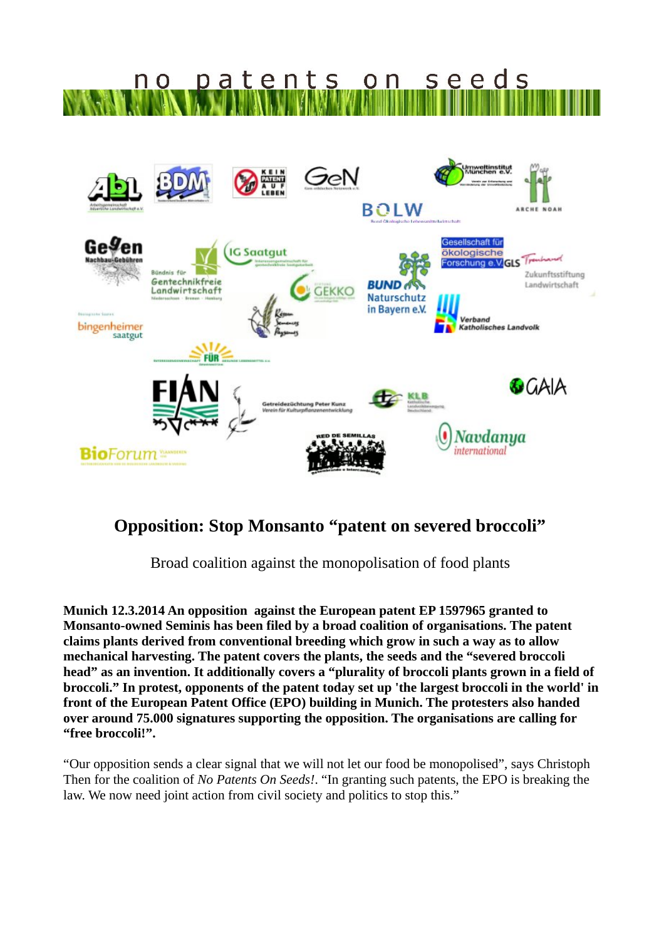

## **Opposition: Stop Monsanto "patent on severed broccoli"**

Broad coalition against the monopolisation of food plants

**Munich 12.3.2014 An opposition against the European patent EP 1597965 granted to Monsanto-owned Seminis has been filed by a broad coalition of organisations. The patent claims plants derived from conventional breeding which grow in such a way as to allow mechanical harvesting. The patent covers the plants, the seeds and the "severed broccoli head" as an invention. It additionally covers a "plurality of broccoli plants grown in a field of broccoli." In protest, opponents of the patent today set up 'the largest broccoli in the world' in front of the European Patent Office (EPO) building in Munich. The protesters also handed over around 75.000 signatures supporting the opposition. The organisations are calling for "free broccoli!".** 

"Our opposition sends a clear signal that we will not let our food be monopolised", says Christoph Then for the coalition of *No Patents On Seeds!*. "In granting such patents, the EPO is breaking the law. We now need joint action from civil society and politics to stop this."